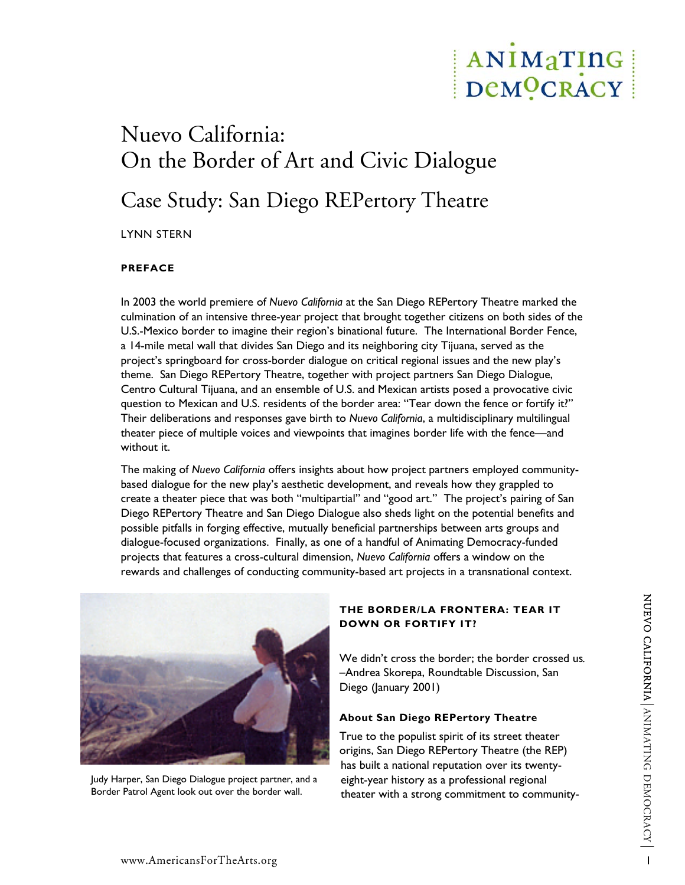# ANIMaTING DeMOCRACY

# Nuevo California: On the Border of Art and Civic Dialogue Case Study: San Diego REPertory Theatre

LYNN STERN

# **PREFACE**

In 2003 the world premiere of *Nuevo California* at the San Diego REPertory Theatre marked the culmination of an intensive three-year project that brought together citizens on both sides of the U.S.-Mexico border to imagine their region's binational future. The International Border Fence, a 14-mile metal wall that divides San Diego and its neighboring city Tijuana, served as the project's springboard for cross-border dialogue on critical regional issues and the new play's theme. San Diego REPertory Theatre, together with project partners San Diego Dialogue, Centro Cultural Tijuana, and an ensemble of U.S. and Mexican artists posed a provocative civic question to Mexican and U.S. residents of the border area: "Tear down the fence or fortify it?" Their deliberations and responses gave birth to *Nuevo California*, a multidisciplinary multilingual theater piece of multiple voices and viewpoints that imagines border life with the fence—and without it.

The making of *Nuevo California* offers insights about how project partners employed communitybased dialogue for the new play's aesthetic development, and reveals how they grappled to create a theater piece that was both "multipartial" and "good art." The project's pairing of San Diego REPertory Theatre and San Diego Dialogue also sheds light on the potential benefits and possible pitfalls in forging effective, mutually beneficial partnerships between arts groups and dialogue-focused organizations. Finally, as one of a handful of Animating Democracy-funded projects that features a cross-cultural dimension, *Nuevo California* offers a window on the rewards and challenges of conducting community-based art projects in a transnational context.



Judy Harper, San Diego Dialogue project partner, and a Border Patrol Agent look out over the border wall.

# **THE BORDER/LA FRONTERA: TEAR IT DOWN OR FORTIFY IT?**

We didn't cross the border; the border crossed us*. –*Andrea Skorepa, Roundtable Discussion, San Diego (January 2001)

# **About San Diego REPertory Theatre**

True to the populist spirit of its street theater origins, San Diego REPertory Theatre (the REP) has built a national reputation over its twentyeight-year history as a professional regional theater with a strong commitment to community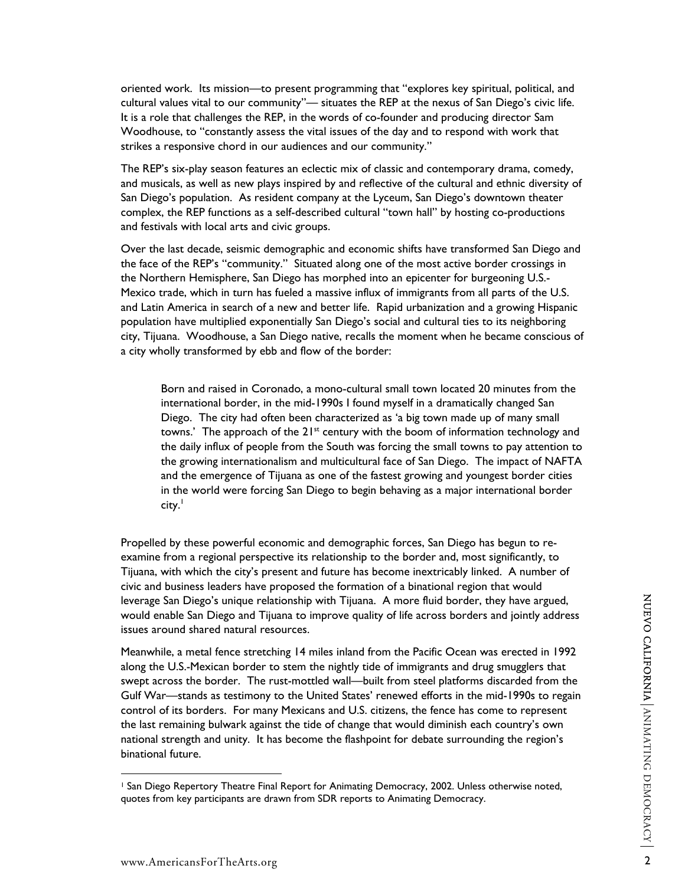oriented work. Its mission—to present programming that "explores key spiritual, political, and cultural values vital to our community"— situates the REP at the nexus of San Diego's civic life. It is a role that challenges the REP, in the words of co-founder and producing director Sam Woodhouse, to "constantly assess the vital issues of the day and to respond with work that strikes a responsive chord in our audiences and our community."

The REP's six-play season features an eclectic mix of classic and contemporary drama, comedy, and musicals, as well as new plays inspired by and reflective of the cultural and ethnic diversity of San Diego's population. As resident company at the Lyceum, San Diego's downtown theater complex, the REP functions as a self-described cultural "town hall" by hosting co-productions and festivals with local arts and civic groups.

Over the last decade, seismic demographic and economic shifts have transformed San Diego and the face of the REP's "community." Situated along one of the most active border crossings in the Northern Hemisphere, San Diego has morphed into an epicenter for burgeoning U.S.- Mexico trade, which in turn has fueled a massive influx of immigrants from all parts of the U.S. and Latin America in search of a new and better life. Rapid urbanization and a growing Hispanic population have multiplied exponentially San Diego's social and cultural ties to its neighboring city, Tijuana. Woodhouse, a San Diego native, recalls the moment when he became conscious of a city wholly transformed by ebb and flow of the border:

Born and raised in Coronado, a mono-cultural small town located 20 minutes from the international border, in the mid-1990s I found myself in a dramatically changed San Diego. The city had often been characterized as 'a big town made up of many small towns.' The approach of the  $21^{st}$  century with the boom of information technology and the daily influx of people from the South was forcing the small towns to pay attention to the growing internationalism and multicultural face of San Diego. The impact of NAFTA and the emergence of Tijuana as one of the fastest growing and youngest border cities in the world were forcing San Diego to begin behaving as a major international border  $\mathsf{city.}^{\mathsf{I}}$ 

Propelled by these powerful economic and demographic forces, San Diego has begun to reexamine from a regional perspective its relationship to the border and, most significantly, to Tijuana, with which the city's present and future has become inextricably linked. A number of civic and business leaders have proposed the formation of a binational region that would leverage San Diego's unique relationship with Tijuana. A more fluid border, they have argued, would enable San Diego and Tijuana to improve quality of life across borders and jointly address issues around shared natural resources.

Meanwhile, a metal fence stretching 14 miles inland from the Pacific Ocean was erected in 1992 along the U.S.-Mexican border to stem the nightly tide of immigrants and drug smugglers that swept across the border. The rust-mottled wall—built from steel platforms discarded from the Gulf War—stands as testimony to the United States' renewed efforts in the mid-1990s to regain control of its borders. For many Mexicans and U.S. citizens, the fence has come to represent the last remaining bulwark against the tide of change that would diminish each country's own national strength and unity. It has become the flashpoint for debate surrounding the region's binational future.

<span id="page-1-0"></span><sup>1</sup> San Diego Repertory Theatre Final Report for Animating Democracy, 2002. Unless otherwise noted, quotes from key participants are drawn from SDR reports to Animating Democracy.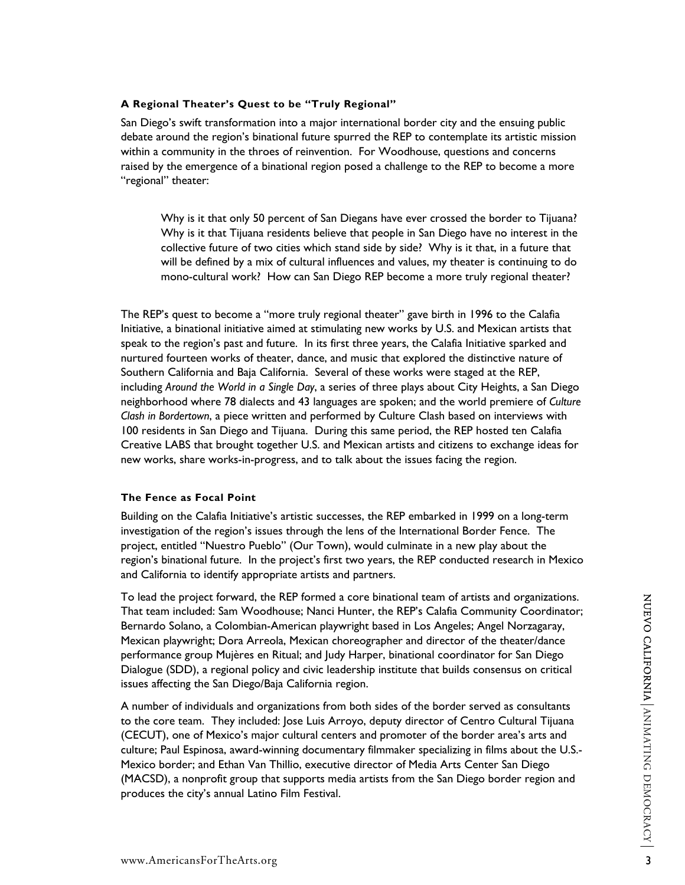# **A Regional Theater's Quest to be "Truly Regional"**

San Diego's swift transformation into a major international border city and the ensuing public debate around the region's binational future spurred the REP to contemplate its artistic mission within a community in the throes of reinvention. For Woodhouse, questions and concerns raised by the emergence of a binational region posed a challenge to the REP to become a more "regional" theater:

Why is it that only 50 percent of San Diegans have ever crossed the border to Tijuana? Why is it that Tijuana residents believe that people in San Diego have no interest in the collective future of two cities which stand side by side? Why is it that, in a future that will be defined by a mix of cultural influences and values, my theater is continuing to do mono-cultural work? How can San Diego REP become a more truly regional theater?

The REP's quest to become a "more truly regional theater" gave birth in 1996 to the Calafia Initiative, a binational initiative aimed at stimulating new works by U.S. and Mexican artists that speak to the region's past and future. In its first three years, the Calafia Initiative sparked and nurtured fourteen works of theater, dance, and music that explored the distinctive nature of Southern California and Baja California. Several of these works were staged at the REP, including *Around the World in a Single Day*, a series of three plays about City Heights, a San Diego neighborhood where 78 dialects and 43 languages are spoken; and the world premiere of *Culture Clash in Bordertown*, a piece written and performed by Culture Clash based on interviews with 100 residents in San Diego and Tijuana. During this same period, the REP hosted ten Calafia Creative LABS that brought together U.S. and Mexican artists and citizens to exchange ideas for new works, share works-in-progress, and to talk about the issues facing the region.

# **The Fence as Focal Point**

Building on the Calafia Initiative's artistic successes, the REP embarked in 1999 on a long-term investigation of the region's issues through the lens of the International Border Fence. The project, entitled "Nuestro Pueblo" (Our Town), would culminate in a new play about the region's binational future. In the project's first two years, the REP conducted research in Mexico and California to identify appropriate artists and partners.

To lead the project forward, the REP formed a core binational team of artists and organizations. That team included: Sam Woodhouse; Nanci Hunter, the REP's Calafia Community Coordinator; Bernardo Solano, a Colombian-American playwright based in Los Angeles; Angel Norzagaray, Mexican playwright; Dora Arreola, Mexican choreographer and director of the theater/dance performance group Mujères en Ritual; and Judy Harper, binational coordinator for San Diego Dialogue (SDD), a regional policy and civic leadership institute that builds consensus on critical issues affecting the San Diego/Baja California region.

A number of individuals and organizations from both sides of the border served as consultants to the core team. They included: Jose Luis Arroyo, deputy director of Centro Cultural Tijuana (CECUT), one of Mexico's major cultural centers and promoter of the border area's arts and culture; Paul Espinosa, award-winning documentary filmmaker specializing in films about the U.S.- Mexico border; and Ethan Van Thillio, executive director of Media Arts Center San Diego (MACSD), a nonprofit group that supports media artists from the San Diego border region and produces the city's annual Latino Film Festival.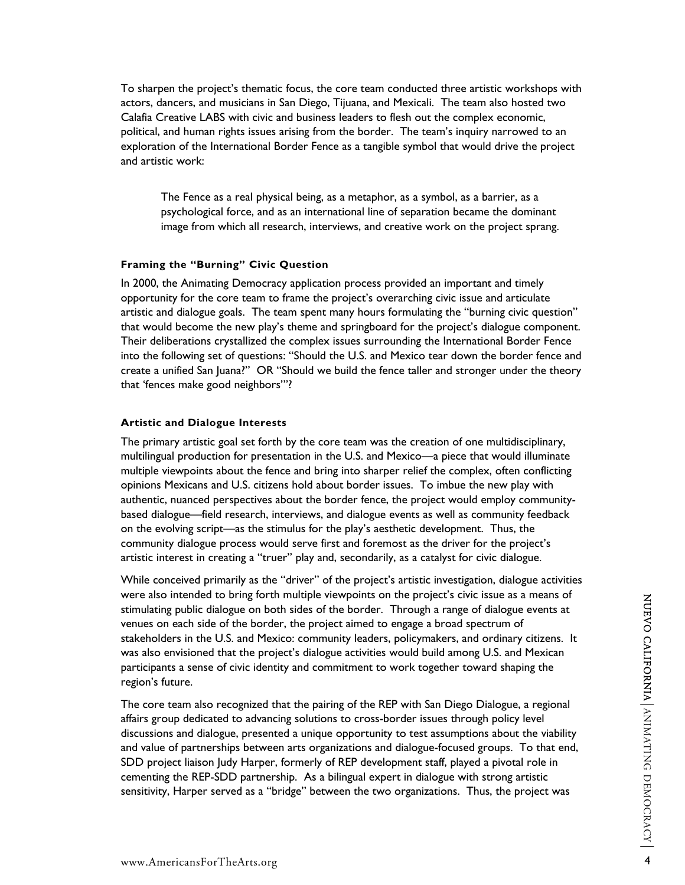To sharpen the project's thematic focus, the core team conducted three artistic workshops with actors, dancers, and musicians in San Diego, Tijuana, and Mexicali. The team also hosted two Calafia Creative LABS with civic and business leaders to flesh out the complex economic, political, and human rights issues arising from the border. The team's inquiry narrowed to an exploration of the International Border Fence as a tangible symbol that would drive the project and artistic work:

The Fence as a real physical being, as a metaphor, as a symbol, as a barrier, as a psychological force, and as an international line of separation became the dominant image from which all research, interviews, and creative work on the project sprang.

# **Framing the "Burning" Civic Question**

In 2000, the Animating Democracy application process provided an important and timely opportunity for the core team to frame the project's overarching civic issue and articulate artistic and dialogue goals. The team spent many hours formulating the "burning civic question" that would become the new play's theme and springboard for the project's dialogue component. Their deliberations crystallized the complex issues surrounding the International Border Fence into the following set of questions: "Should the U.S. and Mexico tear down the border fence and create a unified San Juana?" OR "Should we build the fence taller and stronger under the theory that 'fences make good neighbors'"?

## **Artistic and Dialogue Interests**

The primary artistic goal set forth by the core team was the creation of one multidisciplinary, multilingual production for presentation in the U.S. and Mexico—a piece that would illuminate multiple viewpoints about the fence and bring into sharper relief the complex, often conflicting opinions Mexicans and U.S. citizens hold about border issues. To imbue the new play with authentic, nuanced perspectives about the border fence, the project would employ communitybased dialogue—field research, interviews, and dialogue events as well as community feedback on the evolving script—as the stimulus for the play's aesthetic development. Thus, the community dialogue process would serve first and foremost as the driver for the project's artistic interest in creating a "truer" play and, secondarily, as a catalyst for civic dialogue.

While conceived primarily as the "driver" of the project's artistic investigation, dialogue activities were also intended to bring forth multiple viewpoints on the project's civic issue as a means of stimulating public dialogue on both sides of the border. Through a range of dialogue events at venues on each side of the border, the project aimed to engage a broad spectrum of stakeholders in the U.S. and Mexico: community leaders, policymakers, and ordinary citizens. It was also envisioned that the project's dialogue activities would build among U.S. and Mexican participants a sense of civic identity and commitment to work together toward shaping the region's future.

The core team also recognized that the pairing of the REP with San Diego Dialogue, a regional affairs group dedicated to advancing solutions to cross-border issues through policy level discussions and dialogue, presented a unique opportunity to test assumptions about the viability and value of partnerships between arts organizations and dialogue-focused groups. To that end, SDD project liaison Judy Harper, formerly of REP development staff, played a pivotal role in cementing the REP-SDD partnership. As a bilingual expert in dialogue with strong artistic sensitivity, Harper served as a "bridge" between the two organizations. Thus, the project was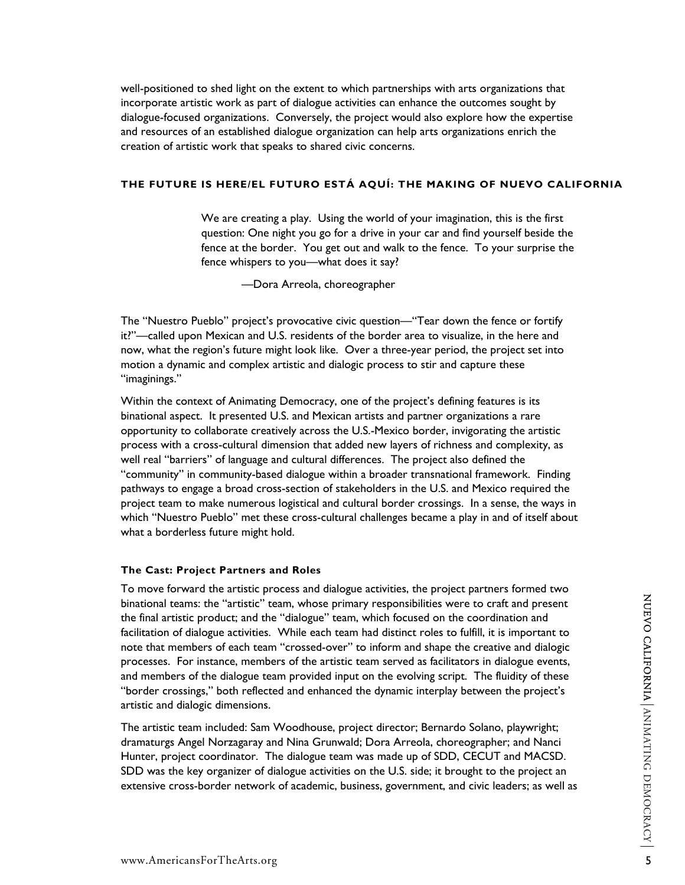well-positioned to shed light on the extent to which partnerships with arts organizations that incorporate artistic work as part of dialogue activities can enhance the outcomes sought by dialogue-focused organizations. Conversely, the project would also explore how the expertise and resources of an established dialogue organization can help arts organizations enrich the creation of artistic work that speaks to shared civic concerns.

# **THE FUTURE IS HERE/EL FUTURO ESTÁ AQUÍ: THE MAKING OF NUEVO CALIFORNIA**

We are creating a play. Using the world of your imagination, this is the first question: One night you go for a drive in your car and find yourself beside the fence at the border. You get out and walk to the fence. To your surprise the fence whispers to you—what does it say?

—Dora Arreola, choreographer

The "Nuestro Pueblo" project's provocative civic question—"Tear down the fence or fortify it?"—called upon Mexican and U.S. residents of the border area to visualize, in the here and now, what the region's future might look like. Over a three-year period, the project set into motion a dynamic and complex artistic and dialogic process to stir and capture these "imaginings."

Within the context of Animating Democracy, one of the project's defining features is its binational aspect. It presented U.S. and Mexican artists and partner organizations a rare opportunity to collaborate creatively across the U.S.-Mexico border, invigorating the artistic process with a cross-cultural dimension that added new layers of richness and complexity, as well real "barriers" of language and cultural differences. The project also defined the "community" in community-based dialogue within a broader transnational framework. Finding pathways to engage a broad cross-section of stakeholders in the U.S. and Mexico required the project team to make numerous logistical and cultural border crossings. In a sense, the ways in which "Nuestro Pueblo" met these cross-cultural challenges became a play in and of itself about what a borderless future might hold.

#### **The Cast: Project Partners and Roles**

To move forward the artistic process and dialogue activities, the project partners formed two binational teams: the "artistic" team, whose primary responsibilities were to craft and present the final artistic product; and the "dialogue" team, which focused on the coordination and facilitation of dialogue activities. While each team had distinct roles to fulfill, it is important to note that members of each team "crossed-over" to inform and shape the creative and dialogic processes. For instance, members of the artistic team served as facilitators in dialogue events, and members of the dialogue team provided input on the evolving script. The fluidity of these "border crossings," both reflected and enhanced the dynamic interplay between the project's artistic and dialogic dimensions.

The artistic team included: Sam Woodhouse, project director; Bernardo Solano, playwright; dramaturgs Angel Norzagaray and Nina Grunwald; Dora Arreola, choreographer; and Nanci Hunter, project coordinator. The dialogue team was made up of SDD, CECUT and MACSD. SDD was the key organizer of dialogue activities on the U.S. side; it brought to the project an extensive cross-border network of academic, business, government, and civic leaders; as well as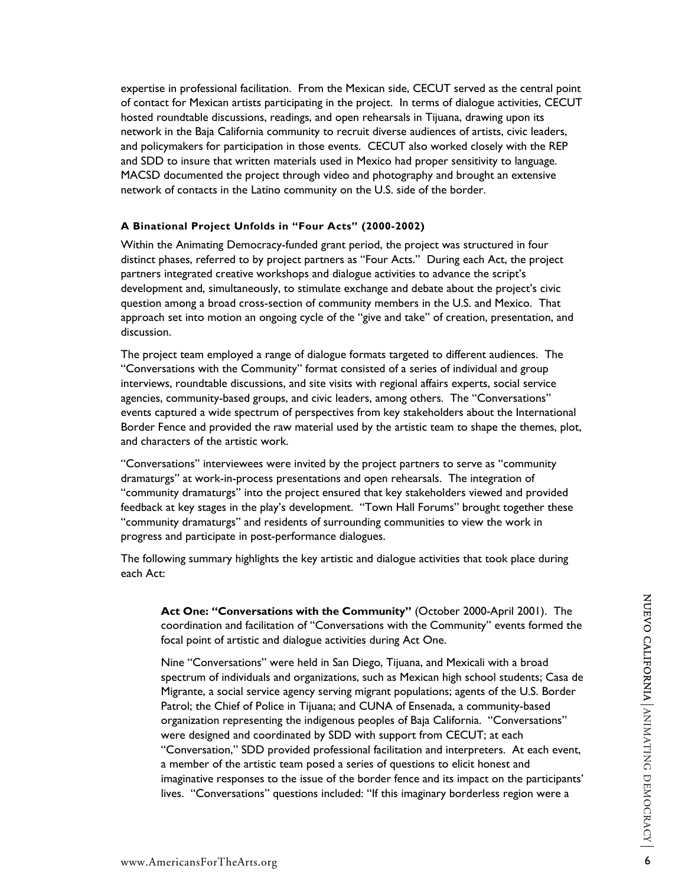expertise in professional facilitation. From the Mexican side, CECUT served as the central point of contact for Mexican artists participating in the project. In terms of dialogue activities, CECUT hosted roundtable discussions, readings, and open rehearsals in Tijuana, drawing upon its network in the Baja California community to recruit diverse audiences of artists, civic leaders, and policymakers for participation in those events. CECUT also worked closely with the REP and SDD to insure that written materials used in Mexico had proper sensitivity to language. MACSD documented the project through video and photography and brought an extensive network of contacts in the Latino community on the U.S. side of the border.

# **A Binational Project Unfolds in "Four Acts" (2000-2002)**

Within the Animating Democracy-funded grant period, the project was structured in four distinct phases, referred to by project partners as "Four Acts." During each Act, the project partners integrated creative workshops and dialogue activities to advance the script's development and, simultaneously, to stimulate exchange and debate about the project's civic question among a broad cross-section of community members in the U.S. and Mexico. That approach set into motion an ongoing cycle of the "give and take" of creation, presentation, and discussion.

The project team employed a range of dialogue formats targeted to different audiences. The "Conversations with the Community" format consisted of a series of individual and group interviews, roundtable discussions, and site visits with regional affairs experts, social service agencies, community-based groups, and civic leaders, among others. The "Conversations" events captured a wide spectrum of perspectives from key stakeholders about the International Border Fence and provided the raw material used by the artistic team to shape the themes, plot, and characters of the artistic work.

"Conversations" interviewees were invited by the project partners to serve as "community dramaturgs" at work-in-process presentations and open rehearsals. The integration of "community dramaturgs" into the project ensured that key stakeholders viewed and provided feedback at key stages in the play's development. "Town Hall Forums" brought together these "community dramaturgs" and residents of surrounding communities to view the work in progress and participate in post-performance dialogues.

The following summary highlights the key artistic and dialogue activities that took place during each Act:

**Act One: "Conversations with the Community"** (October 2000-April 2001). The coordination and facilitation of "Conversations with the Community" events formed the focal point of artistic and dialogue activities during Act One.

Nine "Conversations" were held in San Diego, Tijuana, and Mexicali with a broad spectrum of individuals and organizations, such as Mexican high school students; Casa de Migrante, a social service agency serving migrant populations; agents of the U.S. Border Patrol; the Chief of Police in Tijuana; and CUNA of Ensenada, a community-based organization representing the indigenous peoples of Baja California. "Conversations" were designed and coordinated by SDD with support from CECUT; at each "Conversation," SDD provided professional facilitation and interpreters. At each event, a member of the artistic team posed a series of questions to elicit honest and imaginative responses to the issue of the border fence and its impact on the participants' lives. "Conversations" questions included: "If this imaginary borderless region were a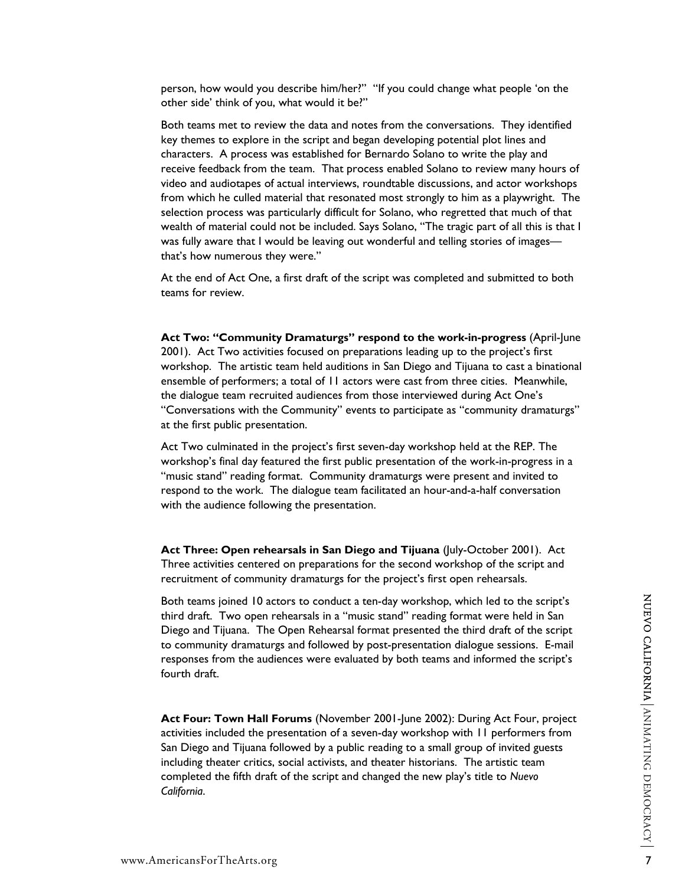person, how would you describe him/her?" "If you could change what people 'on the other side' think of you, what would it be?"

Both teams met to review the data and notes from the conversations. They identified key themes to explore in the script and began developing potential plot lines and characters. A process was established for Bernardo Solano to write the play and receive feedback from the team. That process enabled Solano to review many hours of video and audiotapes of actual interviews, roundtable discussions, and actor workshops from which he culled material that resonated most strongly to him as a playwright. The selection process was particularly difficult for Solano, who regretted that much of that wealth of material could not be included. Says Solano, "The tragic part of all this is that I was fully aware that I would be leaving out wonderful and telling stories of images that's how numerous they were."

At the end of Act One, a first draft of the script was completed and submitted to both teams for review.

**Act Two: "Community Dramaturgs" respond to the work-in-progress** (April-June 2001). Act Two activities focused on preparations leading up to the project's first workshop. The artistic team held auditions in San Diego and Tijuana to cast a binational ensemble of performers; a total of 11 actors were cast from three cities. Meanwhile, the dialogue team recruited audiences from those interviewed during Act One's "Conversations with the Community" events to participate as "community dramaturgs" at the first public presentation.

Act Two culminated in the project's first seven-day workshop held at the REP. The workshop's final day featured the first public presentation of the work-in-progress in a "music stand" reading format. Community dramaturgs were present and invited to respond to the work. The dialogue team facilitated an hour-and-a-half conversation with the audience following the presentation.

**Act Three: Open rehearsals in San Diego and Tijuana** (July-October 2001). Act Three activities centered on preparations for the second workshop of the script and recruitment of community dramaturgs for the project's first open rehearsals.

Both teams joined 10 actors to conduct a ten-day workshop, which led to the script's third draft. Two open rehearsals in a "music stand" reading format were held in San Diego and Tijuana. The Open Rehearsal format presented the third draft of the script to community dramaturgs and followed by post-presentation dialogue sessions. E-mail responses from the audiences were evaluated by both teams and informed the script's fourth draft.

**Act Four: Town Hall Forums** (November 2001-June 2002): During Act Four, project activities included the presentation of a seven-day workshop with 11 performers from San Diego and Tijuana followed by a public reading to a small group of invited guests including theater critics, social activists, and theater historians. The artistic team completed the fifth draft of the script and changed the new play's title to *Nuevo California*.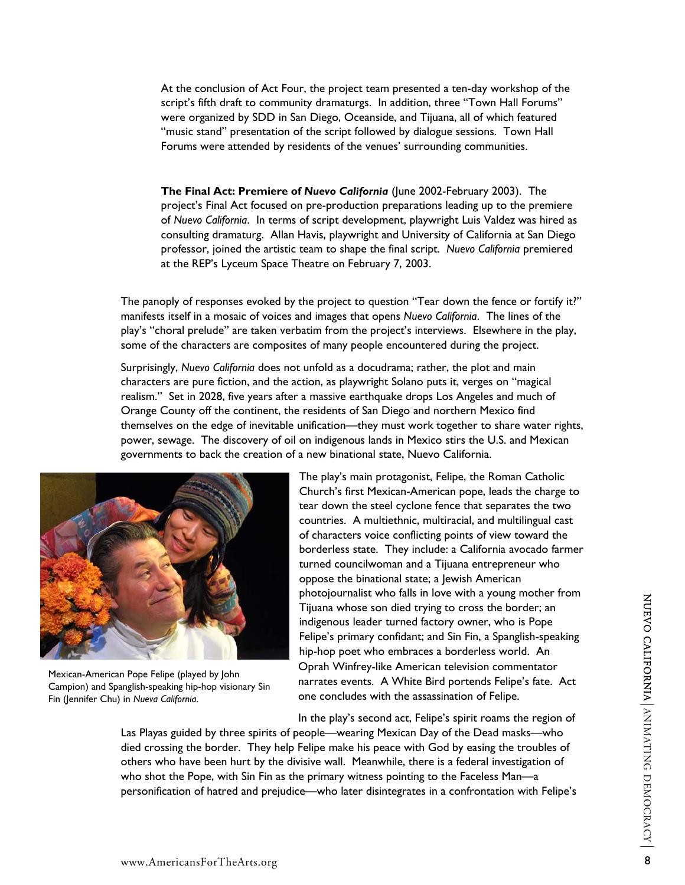At the conclusion of Act Four, the project team presented a ten-day workshop of the script's fifth draft to community dramaturgs. In addition, three "Town Hall Forums" were organized by SDD in San Diego, Oceanside, and Tijuana, all of which featured "music stand" presentation of the script followed by dialogue sessions. Town Hall Forums were attended by residents of the venues' surrounding communities.

**The Final Act: Premiere of** *Nuevo California* (June 2002-February 2003). The project's Final Act focused on pre-production preparations leading up to the premiere of *Nuevo California*. In terms of script development, playwright Luis Valdez was hired as consulting dramaturg. Allan Havis, playwright and University of California at San Diego professor, joined the artistic team to shape the final script. *Nuevo California* premiered at the REP's Lyceum Space Theatre on February 7, 2003.

The panoply of responses evoked by the project to question "Tear down the fence or fortify it?" manifests itself in a mosaic of voices and images that opens *Nuevo California*. The lines of the play's "choral prelude" are taken verbatim from the project's interviews. Elsewhere in the play, some of the characters are composites of many people encountered during the project.

Surprisingly, *Nuevo California* does not unfold as a docudrama; rather, the plot and main characters are pure fiction, and the action, as playwright Solano puts it, verges on "magical realism." Set in 2028, five years after a massive earthquake drops Los Angeles and much of Orange County off the continent, the residents of San Diego and northern Mexico find themselves on the edge of inevitable unification—they must work together to share water rights, power, sewage. The discovery of oil on indigenous lands in Mexico stirs the U.S. and Mexican governments to back the creation of a new binational state, Nuevo California.



Mexican-American Pope Felipe (played by John Campion) and Spanglish-speaking hip-hop visionary Sin Fin (Jennifer Chu) in *Nueva California*.

The play's main protagonist, Felipe, the Roman Catholic Church's first Mexican-American pope, leads the charge to tear down the steel cyclone fence that separates the two countries. A multiethnic, multiracial, and multilingual cast of characters voice conflicting points of view toward the borderless state. They include: a California avocado fa rmer turned councilwoman and a Tijuana entrepreneur who oppose the binational state; a Jewish American photojournalist who falls in love with a young mother from Tijuana whose son died trying to cross the border; an indigenous leader turned factory owner, who is Pope Felipe's primary confidant; and Sin Fin, a Spanglish-speaking hip-hop poet who embraces a borderless world. An Oprah Winfrey-like American television commentator narrates events. A White Bird portends Felipe's fate. Act one concludes with the assassination of Felipe.

In the play's second act, Felipe's spirit roams the region of

Las Playas guided by three spirits of people—wearing Mexican Day of the Dead masks—who died crossing the border. They help Felipe make his peace with God by easing the troubles of others who have been hurt by the divisive wall. Meanwhile, there is a federal investigation of who shot the Pope, with Sin Fin as the primary witness pointing to the Faceless Man—a personification of hatred and prejudice—who later disintegrates in a confrontation with Felipe's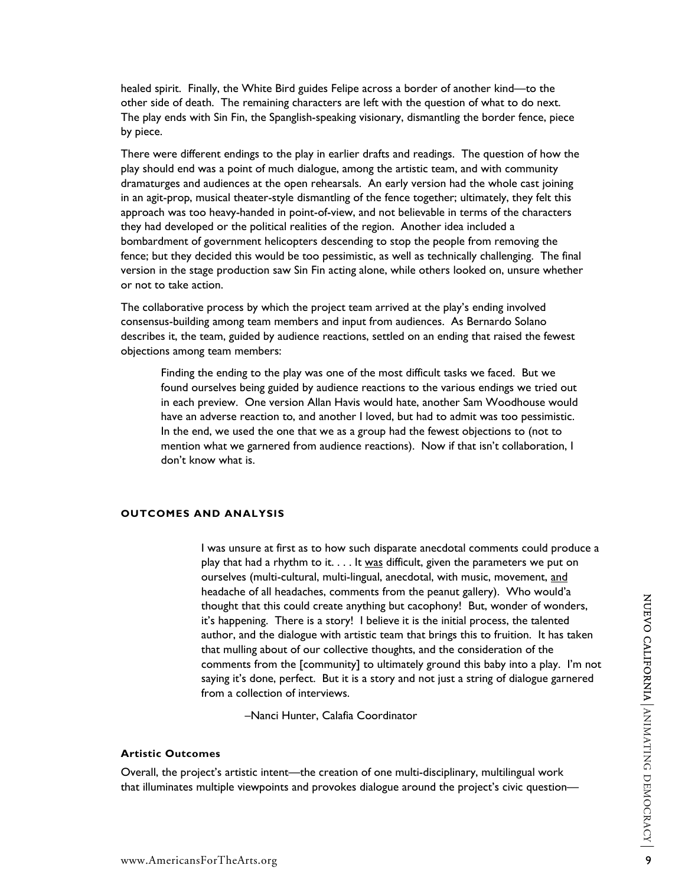healed spirit. Finally, the White Bird guides Felipe across a border of another kind—to the other side of death. The remaining characters are left with the question of what to do next. The play ends with Sin Fin, the Spanglish-speaking visionary, dismantling the border fence, piece by piece.

There were different endings to the play in earlier drafts and readings. The question of how the play should end was a point of much dialogue, among the artistic team, and with community dramaturges and audiences at the open rehearsals. An early version had the whole cast joining in an agit-prop, musical theater-style dismantling of the fence together; ultimately, they felt this approach was too heavy-handed in point-of-view, and not believable in terms of the characters they had developed or the political realities of the region. Another idea included a bombardment of government helicopters descending to stop the people from removing the fence; but they decided this would be too pessimistic, as well as technically challenging. The final version in the stage production saw Sin Fin acting alone, while others looked on, unsure whether or not to take action.

The collaborative process by which the project team arrived at the play's ending involved consensus-building among team members and input from audiences. As Bernardo Solano describes it, the team, guided by audience reactions, settled on an ending that raised the fewest objections among team members:

Finding the ending to the play was one of the most difficult tasks we faced. But we found ourselves being guided by audience reactions to the various endings we tried out in each preview. One version Allan Havis would hate, another Sam Woodhouse would have an adverse reaction to, and another I loved, but had to admit was too pessimistic. In the end, we used the one that we as a group had the fewest objections to (not to mention what we garnered from audience reactions). Now if that isn't collaboration, I don't know what is.

# **OUTCOMES AND ANALYSIS**

I was unsure at first as to how such disparate anecdotal comments could produce a play that had a rhythm to it.  $\dots$  It was difficult, given the parameters we put on ourselves (multi-cultural, multi-lingual, anecdotal, with music, movement, and headache of all headaches, comments from the peanut gallery). Who would'a thought that this could create anything but cacophony! But, wonder of wonders, it's happening. There is a story! I believe it is the initial process, the talented author, and the dialogue with artistic team that brings this to fruition. It has taken that mulling about of our collective thoughts, and the consideration of the comments from the [community] to ultimately ground this baby into a play. I'm not saying it's done, perfect. But it is a story and not just a string of dialogue garnered from a collection of interviews.

–Nanci Hunter, Calafia Coordinator

#### **Artistic Outcomes**

Overall, the project's artistic intent—the creation of one multi-disciplinary, multilingual work that illuminates multiple viewpoints and provokes dialogue around the project's civic question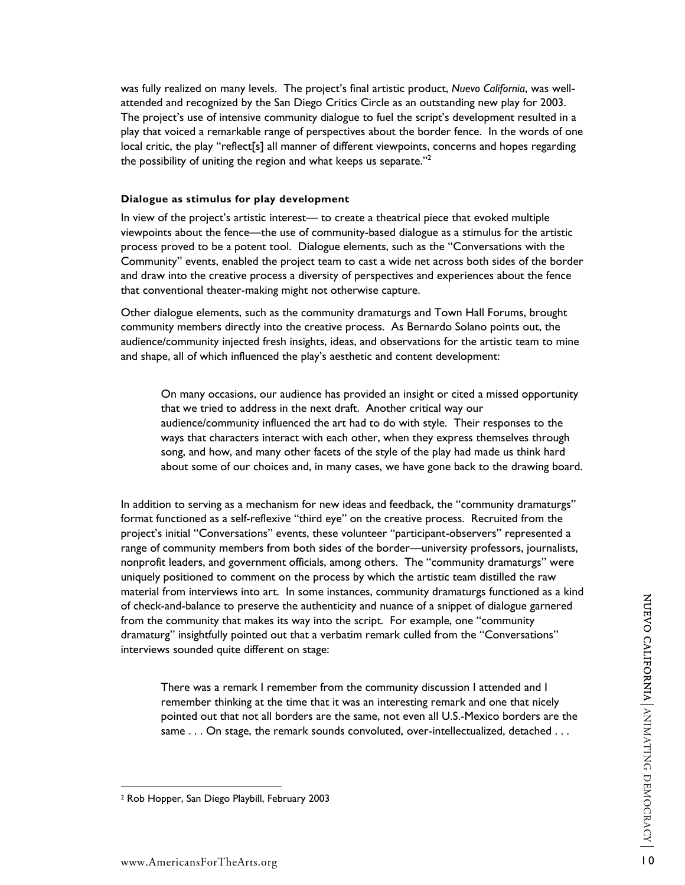was fully realized on many levels. The project's final artistic product, *Nuevo California*, was wellattended and recognized by the San Diego Critics Circle as an outstanding new play for 2003. The project's use of intensive community dialogue to fuel the script's development resulted in a play that voiced a remarkable range of perspectives about the border fence. In the words of one local critic, the play "reflect[s] all manner of different viewpoints, concerns and hopes regarding the possibility of uniting the region and what keeps us separate."<sup>[2](#page-9-0)</sup>

#### **Dialogue as stimulus for play development**

In view of the project's artistic interest— to create a theatrical piece that evoked multiple viewpoints about the fence—the use of community-based dialogue as a stimulus for the artistic process proved to be a potent tool. Dialogue elements, such as the "Conversations with the Community" events, enabled the project team to cast a wide net across both sides of the border and draw into the creative process a diversity of perspectives and experiences about the fence that conventional theater-making might not otherwise capture.

Other dialogue elements, such as the community dramaturgs and Town Hall Forums, brought community members directly into the creative process. As Bernardo Solano points out, the audience/community injected fresh insights, ideas, and observations for the artistic team to mine and shape, all of which influenced the play's aesthetic and content development:

On many occasions, our audience has provided an insight or cited a missed opportunity that we tried to address in the next draft. Another critical way our audience/community influenced the art had to do with style. Their responses to the ways that characters interact with each other, when they express themselves through song, and how, and many other facets of the style of the play had made us think hard about some of our choices and, in many cases, we have gone back to the drawing board.

In addition to serving as a mechanism for new ideas and feedback, the "community dramaturgs" format functioned as a self-reflexive "third eye" on the creative process. Recruited from the project's initial "Conversations" events, these volunteer "participant-observers" represented a range of community members from both sides of the border—university professors, journalists, nonprofit leaders, and government officials, among others. The "community dramaturgs" were uniquely positioned to comment on the process by which the artistic team distilled the raw material from interviews into art. In some instances, community dramaturgs functioned as a kind of check-and-balance to preserve the authenticity and nuance of a snippet of dialogue garnered from the community that makes its way into the script. For example, one "community dramaturg" insightfully pointed out that a verbatim remark culled from the "Conversations" interviews sounded quite different on stage:

There was a remark I remember from the community discussion I attended and I remember thinking at the time that it was an interesting remark and one that nicely pointed out that not all borders are the same, not even all U.S.-Mexico borders are the same . . . On stage, the remark sounds convoluted, over-intellectualized, detached . . .

<span id="page-9-0"></span><sup>2</sup> Rob Hopper, San Diego Playbill, February 2003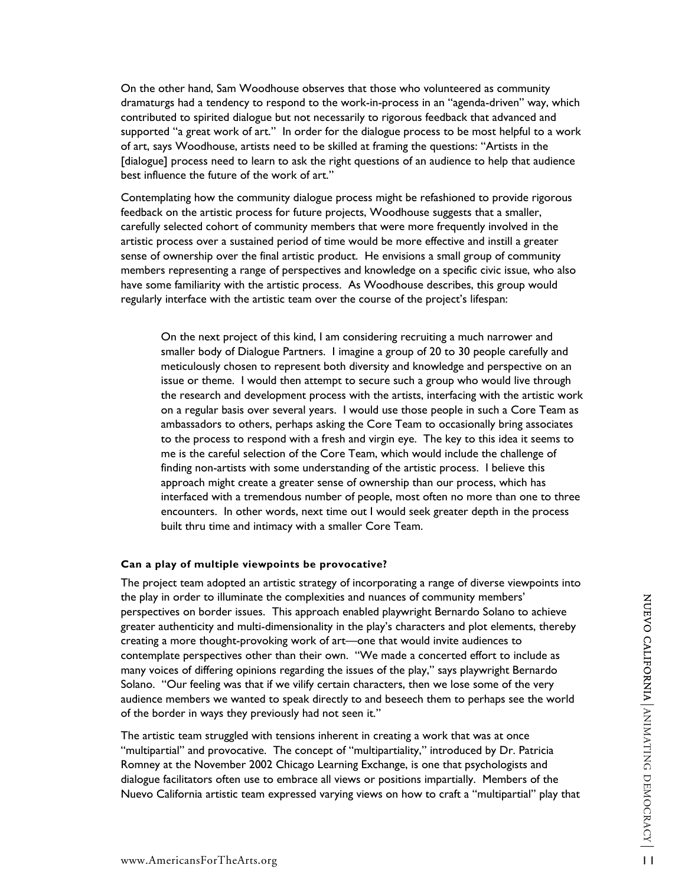On the other hand, Sam Woodhouse observes that those who volunteered as community dramaturgs had a tendency to respond to the work-in-process in an "agenda-driven" way, which contributed to spirited dialogue but not necessarily to rigorous feedback that advanced and supported "a great work of art." In order for the dialogue process to be most helpful to a work of art, says Woodhouse, artists need to be skilled at framing the questions: "Artists in the [dialogue] process need to learn to ask the right questions of an audience to help that audience best influence the future of the work of art."

Contemplating how the community dialogue process might be refashioned to provide rigorous feedback on the artistic process for future projects, Woodhouse suggests that a smaller, carefully selected cohort of community members that were more frequently involved in the artistic process over a sustained period of time would be more effective and instill a greater sense of ownership over the final artistic product. He envisions a small group of community members representing a range of perspectives and knowledge on a specific civic issue, who also have some familiarity with the artistic process. As Woodhouse describes, this group would regularly interface with the artistic team over the course of the project's lifespan:

On the next project of this kind, I am considering recruiting a much narrower and smaller body of Dialogue Partners. I imagine a group of 20 to 30 people carefully and meticulously chosen to represent both diversity and knowledge and perspective on an issue or theme. I would then attempt to secure such a group who would live through the research and development process with the artists, interfacing with the artistic work on a regular basis over several years. I would use those people in such a Core Team as ambassadors to others, perhaps asking the Core Team to occasionally bring associates to the process to respond with a fresh and virgin eye. The key to this idea it seems to me is the careful selection of the Core Team, which would include the challenge of finding non-artists with some understanding of the artistic process. I believe this approach might create a greater sense of ownership than our process, which has interfaced with a tremendous number of people, most often no more than one to three encounters. In other words, next time out I would seek greater depth in the process built thru time and intimacy with a smaller Core Team.

#### **Can a play of multiple viewpoints be provocative?**

The project team adopted an artistic strategy of incorporating a range of diverse viewpoints into the play in order to illuminate the complexities and nuances of community members' perspectives on border issues. This approach enabled playwright Bernardo Solano to achieve greater authenticity and multi-dimensionality in the play's characters and plot elements, thereby creating a more thought-provoking work of art—one that would invite audiences to contemplate perspectives other than their own. "We made a concerted effort to include as many voices of differing opinions regarding the issues of the play," says playwright Bernardo Solano. "Our feeling was that if we vilify certain characters, then we lose some of the very audience members we wanted to speak directly to and beseech them to perhaps see the world of the border in ways they previously had not seen it."

The artistic team struggled with tensions inherent in creating a work that was at once "multipartial" and provocative. The concept of "multipartiality," introduced by Dr. Patricia Romney at the November 2002 Chicago Learning Exchange, is one that psychologists and dialogue facilitators often use to embrace all views or positions impartially. Members of the Nuevo California artistic team expressed varying views on how to craft a "multipartial" play that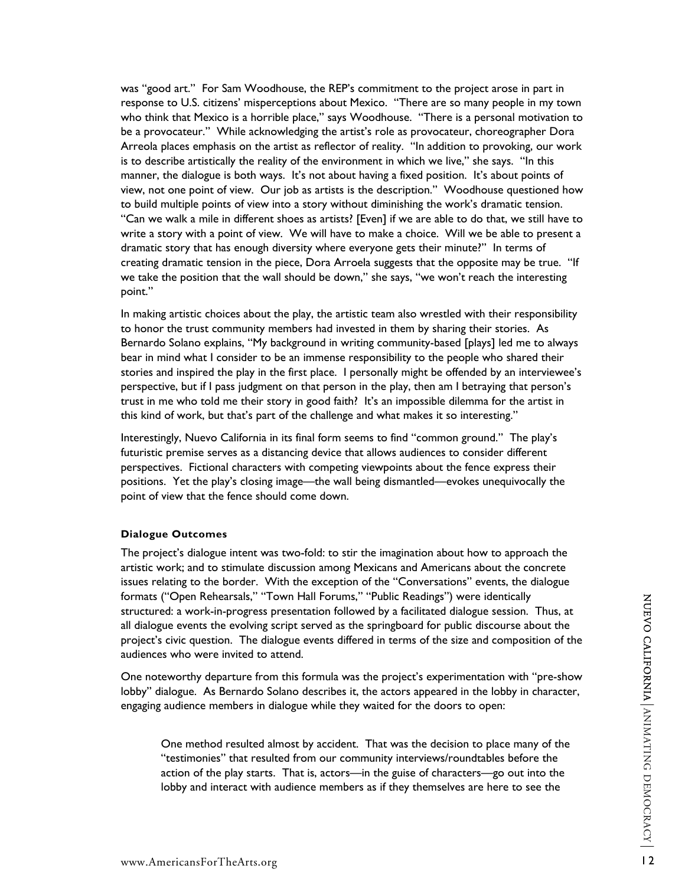was "good art." For Sam Woodhouse, the REP's commitment to the project arose in part in response to U.S. citizens' misperceptions about Mexico. "There are so many people in my town who think that Mexico is a horrible place," says Woodhouse. "There is a personal motivation to be a provocateur." While acknowledging the artist's role as provocateur, choreographer Dora Arreola places emphasis on the artist as reflector of reality. "In addition to provoking, our work is to describe artistically the reality of the environment in which we live," she says. "In this manner, the dialogue is both ways. It's not about having a fixed position. It's about points of view, not one point of view. Our job as artists is the description." Woodhouse questioned how to build multiple points of view into a story without diminishing the work's dramatic tension. "Can we walk a mile in different shoes as artists? [Even] if we are able to do that, we still have to write a story with a point of view. We will have to make a choice. Will we be able to present a dramatic story that has enough diversity where everyone gets their minute?" In terms of creating dramatic tension in the piece, Dora Arroela suggests that the opposite may be true. "If we take the position that the wall should be down," she says, "we won't reach the interesting point."

In making artistic choices about the play, the artistic team also wrestled with their responsibility to honor the trust community members had invested in them by sharing their stories. As Bernardo Solano explains, "My background in writing community-based [plays] led me to always bear in mind what I consider to be an immense responsibility to the people who shared their stories and inspired the play in the first place. I personally might be offended by an interviewee's perspective, but if I pass judgment on that person in the play, then am I betraying that person's trust in me who told me their story in good faith? It's an impossible dilemma for the artist in this kind of work, but that's part of the challenge and what makes it so interesting."

Interestingly, Nuevo California in its final form seems to find "common ground." The play's futuristic premise serves as a distancing device that allows audiences to consider different perspectives. Fictional characters with competing viewpoints about the fence express their positions. Yet the play's closing image—the wall being dismantled—evokes unequivocally the point of view that the fence should come down.

#### **Dialogue Outcomes**

The project's dialogue intent was two-fold: to stir the imagination about how to approach the artistic work; and to stimulate discussion among Mexicans and Americans about the concrete issues relating to the border. With the exception of the "Conversations" events, the dialogue formats ("Open Rehearsals," "Town Hall Forums," "Public Readings") were identically structured: a work-in-progress presentation followed by a facilitated dialogue session. Thus, at all dialogue events the evolving script served as the springboard for public discourse about the project's civic question. The dialogue events differed in terms of the size and composition of the audiences who were invited to attend.

One noteworthy departure from this formula was the project's experimentation with "pre-show lobby" dialogue. As Bernardo Solano describes it, the actors appeared in the lobby in character, engaging audience members in dialogue while they waited for the doors to open:

One method resulted almost by accident. That was the decision to place many of the "testimonies" that resulted from our community interviews/roundtables before the action of the play starts. That is, actors—in the guise of characters—go out into the lobby and interact with audience members as if they themselves are here to see the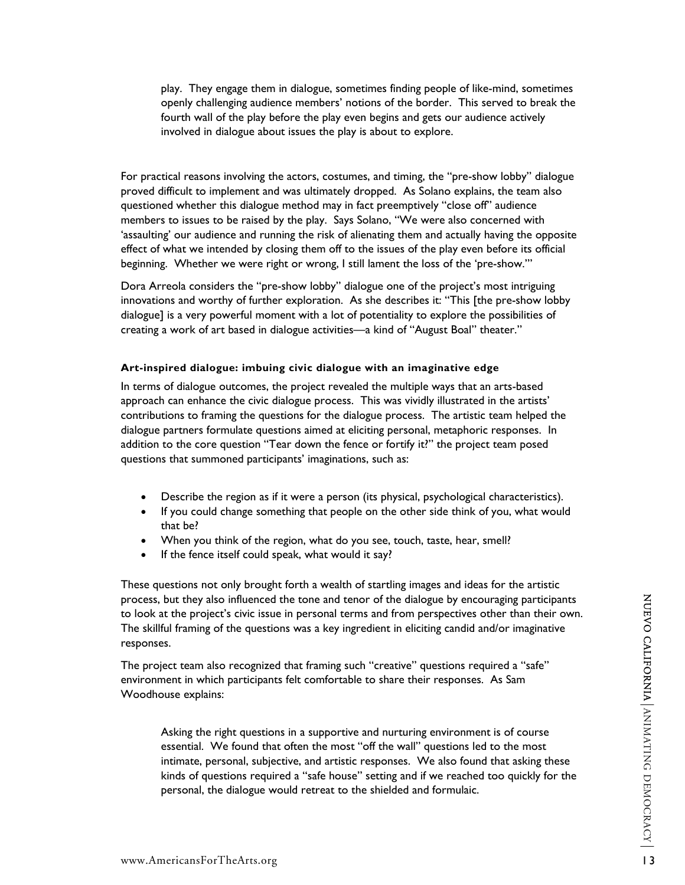play. They engage them in dialogue, sometimes finding people of like-mind, sometimes openly challenging audience members' notions of the border. This served to break the fourth wall of the play before the play even begins and gets our audience actively involved in dialogue about issues the play is about to explore.

For practical reasons involving the actors, costumes, and timing, the "pre-show lobby" dialogue proved difficult to implement and was ultimately dropped. As Solano explains, the team also questioned whether this dialogue method may in fact preemptively "close off" audience members to issues to be raised by the play. Says Solano, "We were also concerned with 'assaulting' our audience and running the risk of alienating them and actually having the opposite effect of what we intended by closing them off to the issues of the play even before its official beginning. Whether we were right or wrong, I still lament the loss of the 'pre-show.'"

Dora Arreola considers the "pre-show lobby" dialogue one of the project's most intriguing innovations and worthy of further exploration. As she describes it: "This [the pre-show lobby dialogue] is a very powerful moment with a lot of potentiality to explore the possibilities of creating a work of art based in dialogue activities—a kind of "August Boal" theater."

# **Art-inspired dialogue: imbuing civic dialogue with an imaginative edge**

In terms of dialogue outcomes, the project revealed the multiple ways that an arts-based approach can enhance the civic dialogue process. This was vividly illustrated in the artists' contributions to framing the questions for the dialogue process. The artistic team helped the dialogue partners formulate questions aimed at eliciting personal, metaphoric responses. In addition to the core question "Tear down the fence or fortify it?" the project team posed questions that summoned participants' imaginations, such as:

- Describe the region as if it were a person (its physical, psychological characteristics).
- If you could change something that people on the other side think of you, what would that be?
- When you think of the region, what do you see, touch, taste, hear, smell?
- If the fence itself could speak, what would it say?

These questions not only brought forth a wealth of startling images and ideas for the artistic process, but they also influenced the tone and tenor of the dialogue by encouraging participants to look at the project's civic issue in personal terms and from perspectives other than their own. The skillful framing of the questions was a key ingredient in eliciting candid and/or imaginative responses.

The project team also recognized that framing such "creative" questions required a "safe" environment in which participants felt comfortable to share their responses. As Sam Woodhouse explains:

Asking the right questions in a supportive and nurturing environment is of course essential. We found that often the most "off the wall" questions led to the most intimate, personal, subjective, and artistic responses. We also found that asking these kinds of questions required a "safe house" setting and if we reached too quickly for the personal, the dialogue would retreat to the shielded and formulaic.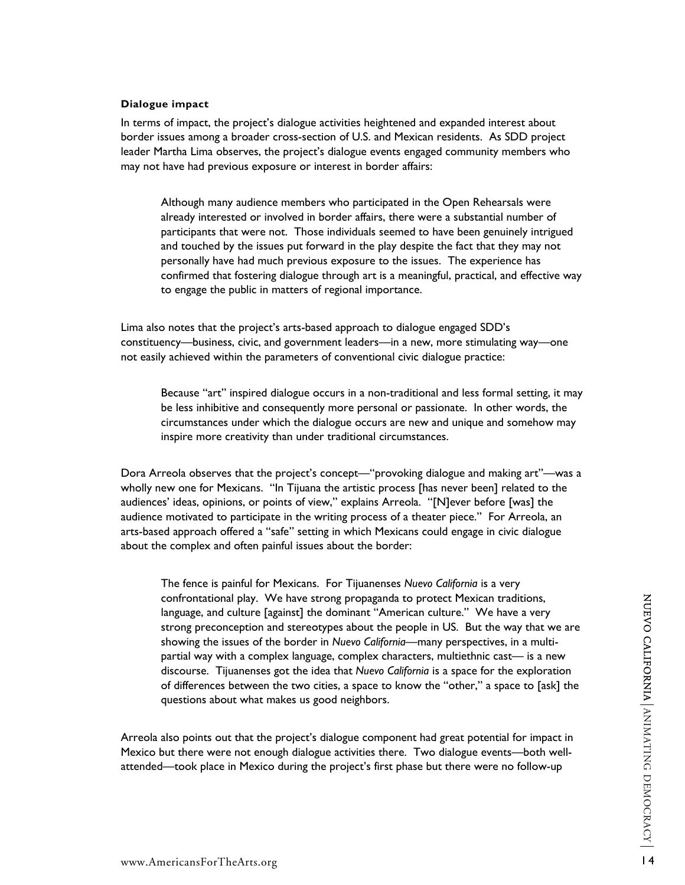# **Dialogue impact**

In terms of impact, the project's dialogue activities heightened and expanded interest about border issues among a broader cross-section of U.S. and Mexican residents. As SDD project leader Martha Lima observes, the project's dialogue events engaged community members who may not have had previous exposure or interest in border affairs:

Although many audience members who participated in the Open Rehearsals were already interested or involved in border affairs, there were a substantial number of participants that were not. Those individuals seemed to have been genuinely intrigued and touched by the issues put forward in the play despite the fact that they may not personally have had much previous exposure to the issues. The experience has confirmed that fostering dialogue through art is a meaningful, practical, and effective way to engage the public in matters of regional importance.

Lima also notes that the project's arts-based approach to dialogue engaged SDD's constituency—business, civic, and government leaders—in a new, more stimulating way—one not easily achieved within the parameters of conventional civic dialogue practice:

Because "art" inspired dialogue occurs in a non-traditional and less formal setting, it may be less inhibitive and consequently more personal or passionate. In other words, the circumstances under which the dialogue occurs are new and unique and somehow may inspire more creativity than under traditional circumstances.

Dora Arreola observes that the project's concept—"provoking dialogue and making art"—was a wholly new one for Mexicans. "In Tijuana the artistic process [has never been] related to the audiences' ideas, opinions, or points of view," explains Arreola. "[N]ever before [was] the audience motivated to participate in the writing process of a theater piece." For Arreola, an arts-based approach offered a "safe" setting in which Mexicans could engage in civic dialogue about the complex and often painful issues about the border:

The fence is painful for Mexicans. For Tijuanenses *Nuevo California* is a very confrontational play. We have strong propaganda to protect Mexican traditions, language, and culture [against] the dominant "American culture." We have a very strong preconception and stereotypes about the people in US. But the way that we are showing the issues of the border in *Nuevo California*—many perspectives, in a multipartial way with a complex language, complex characters, multiethnic cast— is a new discourse. Tijuanenses got the idea that *Nuevo California* is a space for the exploration of differences between the two cities, a space to know the "other," a space to [ask] the questions about what makes us good neighbors.

Arreola also points out that the project's dialogue component had great potential for impact in Mexico but there were not enough dialogue activities there. Two dialogue events—both wellattended—took place in Mexico during the project's first phase but there were no follow-up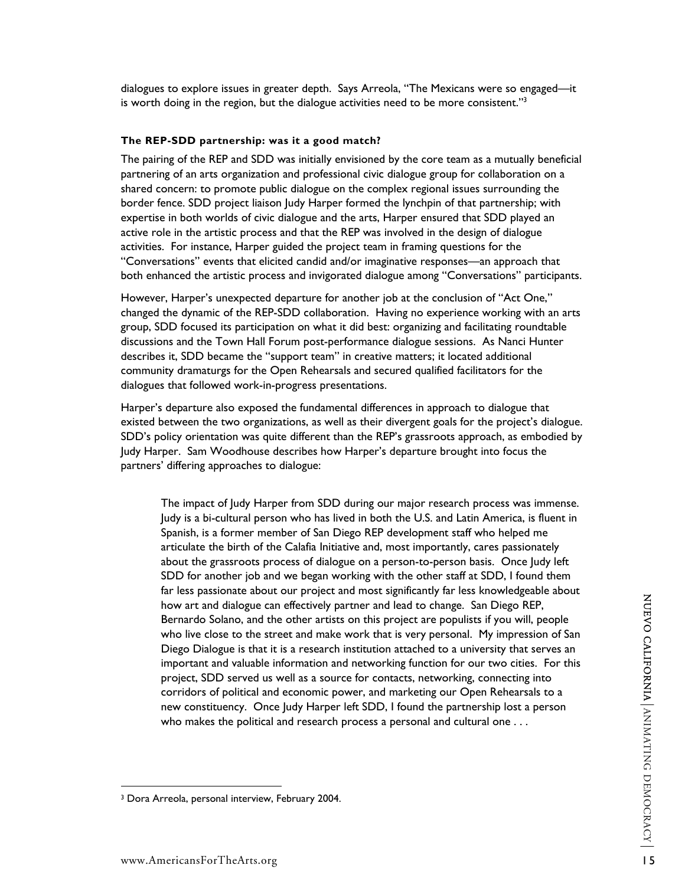dialogues to explore issues in greater depth. Says Arreola, "The Mexicans were so engaged—it is worth doing in the region, but the dialogue activities need to be more consistent."<sup>3</sup>

## **The REP-SDD partnership: was it a good match?**

The pairing of the REP and SDD was initially envisioned by the core team as a mutually beneficial partnering of an arts organization and professional civic dialogue group for collaboration on a shared concern: to promote public dialogue on the complex regional issues surrounding the border fence. SDD project liaison Judy Harper formed the lynchpin of that partnership; with expertise in both worlds of civic dialogue and the arts, Harper ensured that SDD played an active role in the artistic process and that the REP was involved in the design of dialogue activities. For instance, Harper guided the project team in framing questions for the "Conversations" events that elicited candid and/or imaginative responses—an approach that both enhanced the artistic process and invigorated dialogue among "Conversations" participants.

However, Harper's unexpected departure for another job at the conclusion of "Act One," changed the dynamic of the REP-SDD collaboration. Having no experience working with an arts group, SDD focused its participation on what it did best: organizing and facilitating roundtable discussions and the Town Hall Forum post-performance dialogue sessions. As Nanci Hunter describes it, SDD became the "support team" in creative matters; it located additional community dramaturgs for the Open Rehearsals and secured qualified facilitators for the dialogues that followed work-in-progress presentations.

Harper's departure also exposed the fundamental differences in approach to dialogue that existed between the two organizations, as well as their divergent goals for the project's dialogue. SDD's policy orientation was quite different than the REP's grassroots approach, as embodied by Judy Harper. Sam Woodhouse describes how Harper's departure brought into focus the partners' differing approaches to dialogue:

The impact of Judy Harper from SDD during our major research process was immense. Judy is a bi-cultural person who has lived in both the U.S. and Latin America, is fluent in Spanish, is a former member of San Diego REP development staff who helped me articulate the birth of the Calafia Initiative and, most importantly, cares passionately about the grassroots process of dialogue on a person-to-person basis. Once Judy left SDD for another job and we began working with the other staff at SDD, I found them far less passionate about our project and most significantly far less knowledgeable about how art and dialogue can effectively partner and lead to change. San Diego REP, Bernardo Solano, and the other artists on this project are populists if you will, people who live close to the street and make work that is very personal. My impression of San Diego Dialogue is that it is a research institution attached to a university that serves an important and valuable information and networking function for our two cities. For this project, SDD served us well as a source for contacts, networking, connecting into corridors of political and economic power, and marketing our Open Rehearsals to a new constituency. Once Judy Harper left SDD, I found the partnership lost a person who makes the political and research process a personal and cultural one . . .

<span id="page-14-0"></span><sup>3</sup> Dora Arreola, personal interview, February 2004.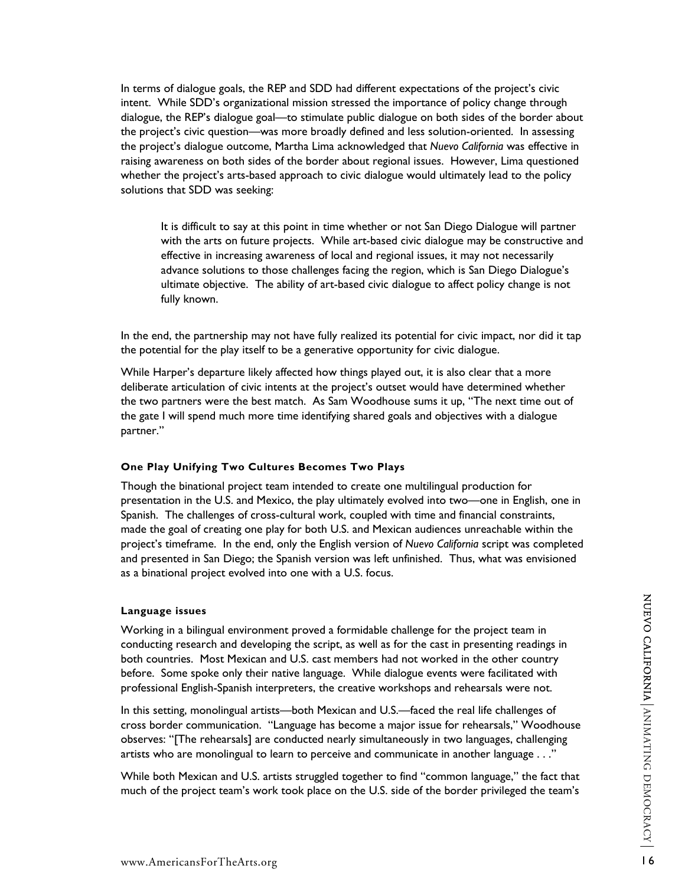In terms of dialogue goals, the REP and SDD had different expectations of the project's civic intent. While SDD's organizational mission stressed the importance of policy change through dialogue, the REP's dialogue goal—to stimulate public dialogue on both sides of the border about the project's civic question—was more broadly defined and less solution-oriented. In assessing the project's dialogue outcome, Martha Lima acknowledged that *Nuevo California* was effective in raising awareness on both sides of the border about regional issues. However, Lima questioned whether the project's arts-based approach to civic dialogue would ultimately lead to the policy solutions that SDD was seeking:

It is difficult to say at this point in time whether or not San Diego Dialogue will partner with the arts on future projects. While art-based civic dialogue may be constructive and effective in increasing awareness of local and regional issues, it may not necessarily advance solutions to those challenges facing the region, which is San Diego Dialogue's ultimate objective. The ability of art-based civic dialogue to affect policy change is not fully known.

In the end, the partnership may not have fully realized its potential for civic impact, nor did it tap the potential for the play itself to be a generative opportunity for civic dialogue.

While Harper's departure likely affected how things played out, it is also clear that a more deliberate articulation of civic intents at the project's outset would have determined whether the two partners were the best match. As Sam Woodhouse sums it up, "The next time out of the gate I will spend much more time identifying shared goals and objectives with a dialogue partner."

## **One Play Unifying Two Cultures Becomes Two Plays**

Though the binational project team intended to create one multilingual production for presentation in the U.S. and Mexico, the play ultimately evolved into two—one in English, one in Spanish. The challenges of cross-cultural work, coupled with time and financial constraints, made the goal of creating one play for both U.S. and Mexican audiences unreachable within the project's timeframe. In the end, only the English version of *Nuevo California* script was completed and presented in San Diego; the Spanish version was left unfinished. Thus, what was envisioned as a binational project evolved into one with a U.S. focus.

### **Language issues**

Working in a bilingual environment proved a formidable challenge for the project team in conducting research and developing the script, as well as for the cast in presenting readings in both countries. Most Mexican and U.S. cast members had not worked in the other country before. Some spoke only their native language. While dialogue events were facilitated with professional English-Spanish interpreters, the creative workshops and rehearsals were not.

In this setting, monolingual artists—both Mexican and U.S.—faced the real life challenges of cross border communication. "Language has become a major issue for rehearsals," Woodhouse observes: "[The rehearsals] are conducted nearly simultaneously in two languages, challenging artists who are monolingual to learn to perceive and communicate in another language . . ."

While both Mexican and U.S. artists struggled together to find "common language," the fact that much of the project team's work took place on the U.S. side of the border privileged the team's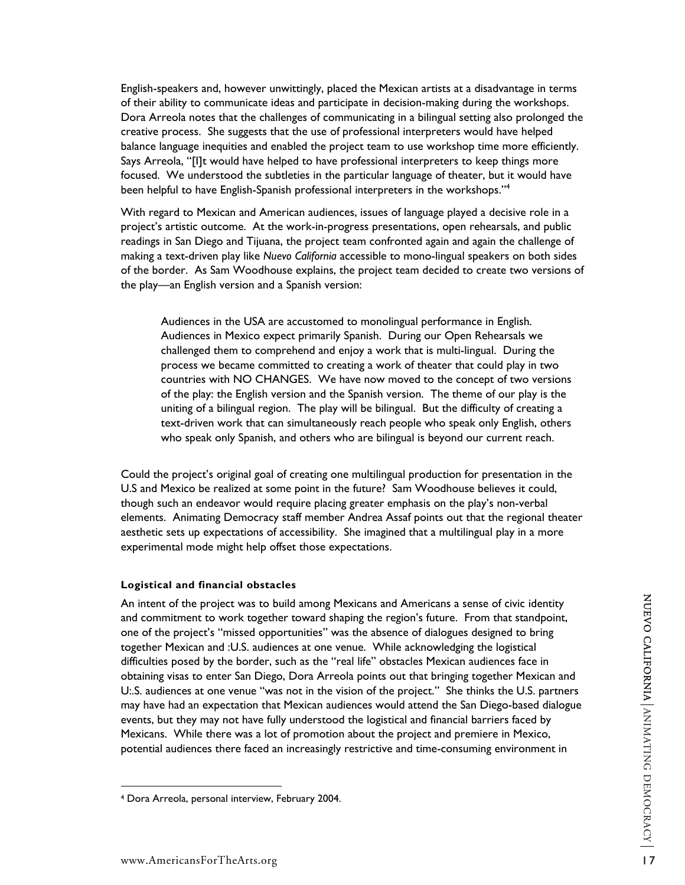English-speakers and, however unwittingly, placed the Mexican artists at a disadvantage in terms of their ability to communicate ideas and participate in decision-making during the workshops. Dora Arreola notes that the challenges of communicating in a bilingual setting also prolonged the creative process. She suggests that the use of professional interpreters would have helped balance language inequities and enabled the project team to use workshop time more efficiently. Says Arreola, "[I]t would have helped to have professional interpreters to keep things more focused. We understood the subtleties in the particular language of theater, but it would have been helpful to have English-Spanish professional interpreters in the workshops."<sup>[4](#page-16-0)</sup>

With regard to Mexican and American audiences, issues of language played a decisive role in a project's artistic outcome. At the work-in-progress presentations, open rehearsals, and public readings in San Diego and Tijuana, the project team confronted again and again the challenge of making a text-driven play like *Nuevo California* accessible to mono-lingual speakers on both sides of the border. As Sam Woodhouse explains, the project team decided to create two versions of the play—an English version and a Spanish version:

Audiences in the USA are accustomed to monolingual performance in English. Audiences in Mexico expect primarily Spanish. During our Open Rehearsals we challenged them to comprehend and enjoy a work that is multi-lingual. During the process we became committed to creating a work of theater that could play in two countries with NO CHANGES. We have now moved to the concept of two versions of the play: the English version and the Spanish version. The theme of our play is the uniting of a bilingual region. The play will be bilingual. But the difficulty of creating a text-driven work that can simultaneously reach people who speak only English, others who speak only Spanish, and others who are bilingual is beyond our current reach.

Could the project's original goal of creating one multilingual production for presentation in the U.S and Mexico be realized at some point in the future? Sam Woodhouse believes it could, though such an endeavor would require placing greater emphasis on the play's non-verbal elements. Animating Democracy staff member Andrea Assaf points out that the regional theater aesthetic sets up expectations of accessibility. She imagined that a multilingual play in a more experimental mode might help offset those expectations.

#### **Logistical and financial obstacles**

An intent of the project was to build among Mexicans and Americans a sense of civic identity and commitment to work together toward shaping the region's future. From that standpoint, one of the project's "missed opportunities" was the absence of dialogues designed to bring together Mexican and :U.S. audiences at one venue. While acknowledging the logistical difficulties posed by the border, such as the "real life" obstacles Mexican audiences face in obtaining visas to enter San Diego, Dora Arreola points out that bringing together Mexican and U:.S. audiences at one venue "was not in the vision of the project." She thinks the U.S. partners may have had an expectation that Mexican audiences would attend the San Diego-based dialogue events, but they may not have fully understood the logistical and financial barriers faced by Mexicans. While there was a lot of promotion about the project and premiere in Mexico, potential audiences there faced an increasingly restrictive and time-consuming environment in

<span id="page-16-0"></span><sup>4</sup> Dora Arreola, personal interview, February 2004.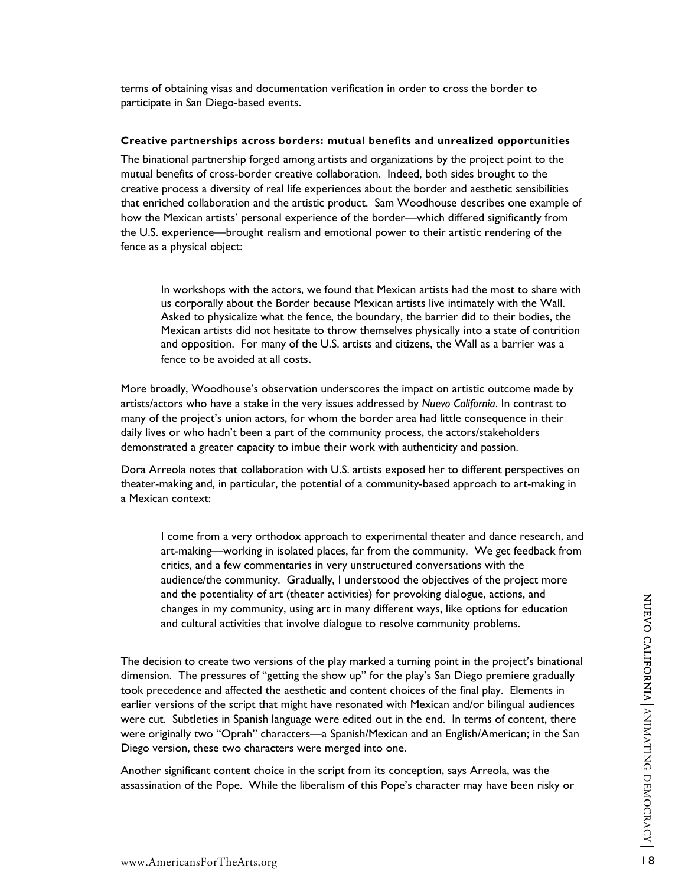terms of obtaining visas and documentation verification in order to cross the border to participate in San Diego-based events.

#### **Creative partnerships across borders: mutual benefits and unrealized opportunities**

The binational partnership forged among artists and organizations by the project point to the mutual benefits of cross-border creative collaboration. Indeed, both sides brought to the creative process a diversity of real life experiences about the border and aesthetic sensibilities that enriched collaboration and the artistic product. Sam Woodhouse describes one example of how the Mexican artists' personal experience of the border—which differed significantly from the U.S. experience—brought realism and emotional power to their artistic rendering of the fence as a physical object:

In workshops with the actors, we found that Mexican artists had the most to share with us corporally about the Border because Mexican artists live intimately with the Wall. Asked to physicalize what the fence, the boundary, the barrier did to their bodies, the Mexican artists did not hesitate to throw themselves physically into a state of contrition and opposition. For many of the U.S. artists and citizens, the Wall as a barrier was a fence to be avoided at all costs.

More broadly, Woodhouse's observation underscores the impact on artistic outcome made by artists/actors who have a stake in the very issues addressed by *Nuevo California*. In contrast to many of the project's union actors, for whom the border area had little consequence in their daily lives or who hadn't been a part of the community process, the actors/stakeholders demonstrated a greater capacity to imbue their work with authenticity and passion.

Dora Arreola notes that collaboration with U.S. artists exposed her to different perspectives on theater-making and, in particular, the potential of a community-based approach to art-making in a Mexican context:

I come from a very orthodox approach to experimental theater and dance research, and art-making—working in isolated places, far from the community. We get feedback from critics, and a few commentaries in very unstructured conversations with the audience/the community. Gradually, I understood the objectives of the project more and the potentiality of art (theater activities) for provoking dialogue, actions, and changes in my community, using art in many different ways, like options for education and cultural activities that involve dialogue to resolve community problems.

The decision to create two versions of the play marked a turning point in the project's binational dimension. The pressures of "getting the show up" for the play's San Diego premiere gradually took precedence and affected the aesthetic and content choices of the final play. Elements in earlier versions of the script that might have resonated with Mexican and/or bilingual audiences were cut. Subtleties in Spanish language were edited out in the end. In terms of content, there were originally two "Oprah" characters—a Spanish/Mexican and an English/American; in the San Diego version, these two characters were merged into one.

Another significant content choice in the script from its conception, says Arreola, was the assassination of the Pope. While the liberalism of this Pope's character may have been risky or